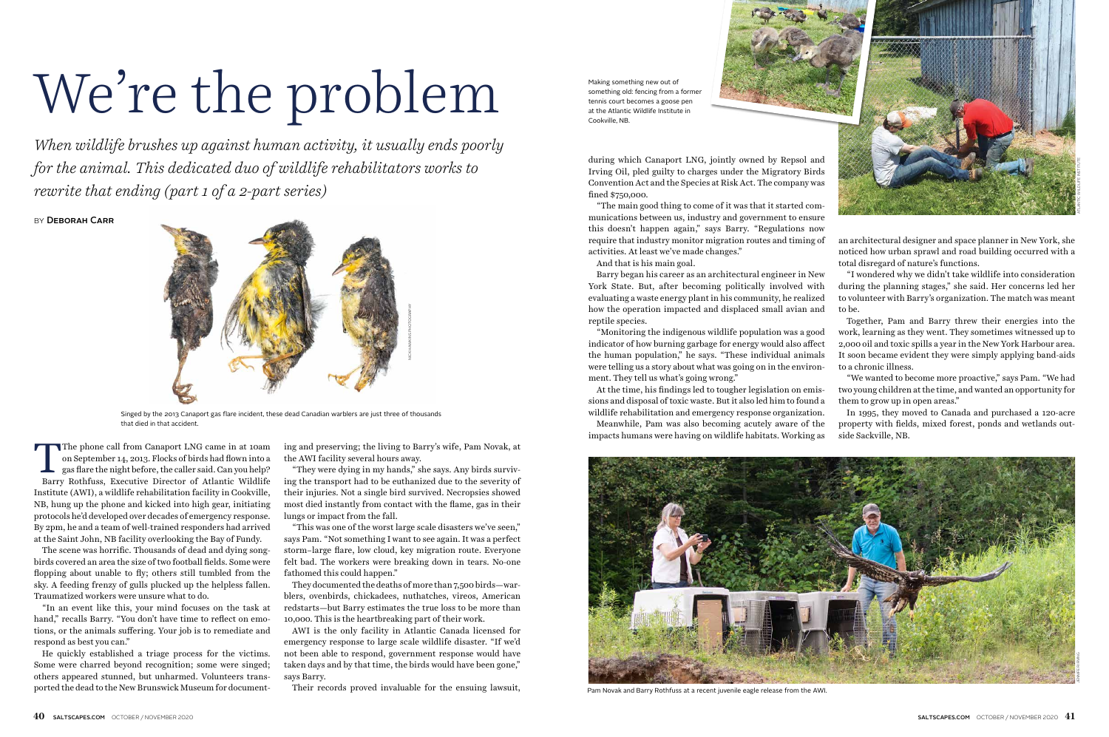The phone call from Canaport LNG came in at 10am<br>on September 14, 2013. Flocks of birds had flown into a<br>gas flare the night before, the caller said. Can you help?<br>Barry Rothfuss Executive Director of Atlantic Wildlife on September 14, 2013. Flocks of birds had flown into a gas flare the night before, the caller said. Can you help? Barry Rothfuss, Executive Director of Atlantic Wildlife Institute (AWI), a wildlife rehabilitation facility in Cookville, NB, hung up the phone and kicked into high gear, initiating protocols he'd developed over decades of emergency response. By 2pm, he and a team of well-trained responders had arrived at the Saint John, NB facility overlooking the Bay of Fundy.

The scene was horrific. Thousands of dead and dying songbirds covered an area the size of two football fields. Some were flopping about unable to fly; others still tumbled from the sky. A feeding frenzy of gulls plucked up the helpless fallen. Traumatized workers were unsure what to do.

"In an event like this, your mind focuses on the task at hand," recalls Barry. "You don't have time to reflect on emotions, or the animals suffering. Your job is to remediate and respond as best you can."

He quickly established a triage process for the victims. Some were charred beyond recognition; some were singed; others appeared stunned, but unharmed. Volunteers transported the dead to the New Brunswick Museum for documenting and preserving; the living to Barry's wife, Pam Novak, at the AWI facility several hours away.

"They were dying in my hands," she says. Any birds surviving the transport had to be euthanized due to the severity of their injuries. Not a single bird survived. Necropsies showed most died instantly from contact with the flame, gas in their lungs or impact from the fall.

"This was one of the worst large scale disasters we've seen," says Pam. "Not something I want to see again. It was a perfect storm–large flare, low cloud, key migration route. Everyone felt bad. The workers were breaking down in tears. No-one fathomed this could happen."

They documented the deaths of more than 7,500 birds—warblers, ovenbirds, chickadees, nuthatches, vireos, American redstarts—but Barry estimates the true loss to be more than 10,000. This is the heartbreaking part of their work.

AWI is the only facility in Atlantic Canada licensed for emergency response to large scale wildlife disaster. "If we'd not been able to respond, government response would have taken days and by that time, the birds would have been gone," says Barry.

Their records proved invaluable for the ensuing lawsuit,

during which Canaport LNG, jointly owned by Repsol and Irving Oil, pled guilty to charges under the Migratory Birds Convention Act and the Species at Risk Act. The company was fined \$750,000.

"The main good thing to come of it was that it started communications between us, industry and government to ensure this doesn't happen again," says Barry. "Regulations now require that industry monitor migration routes and timing of activities. At least we've made changes."

And that is his main goal.

Barry began his career as an architectural engineer in New York State. But, after becoming politically involved with evaluating a waste energy plant in his community, he realized how the operation impacted and displaced small avian and reptile species. "I wondered why we didn't take wildlife into consideration during the planning stages," she said. Her concerns led her to volunteer with Barry's organization. The match was meant to be. Together, Pam and Barry threw their energies into the

At the time, his findings led to tougher legislation on emissions and disposal of toxic waste. But it also led him to found a wildlife rehabilitation and emergency response organization.

"Monitoring the indigenous wildlife population was a good indicator of how burning garbage for energy would also affect the human population," he says. "These individual animals were telling us a story about what was going on in the environment. They tell us what's going wrong." work, learning as they went. They sometimes witnessed up to 2,000 oil and toxic spills a year in the New York Harbour area. It soon became evident they were simply applying band-aids to a chronic illness. "We wanted to become more proactive," says Pam. "We had

an architectural designer and space planner in New York, she noticed how urban sprawl and road building occurred with a total disregard of nature's functions.

Meanwhile, Pam was also becoming acutely aware of the impacts humans were having on wildlife habitats. Working as In 1995, they moved to Canada and purchased a 120-acre property with fields, mixed forest, ponds and wetlands outside Sackville, NB.

two young children at the time, and wanted an opportunity for them to grow up in open areas."

## We're the problem

*When wildlife brushes up against human activity, it usually ends poorly for the animal. This dedicated duo of wildlife rehabilitators works to rewrite that ending (part 1 of a 2-part series)* 

BY DEBORAH CARR



Singed by the 2013 Canaport gas flare incident, these dead Canadian warblers are just three of thousands that died in that accident.

Making something new out of something old: fencing from a former tennis court becomes a goose pen at the Atlantic Wildlife Institute in Cookville, NB.





Pam Novak and Barry Rothfuss at a recent juvenile eagle release from the AWI.